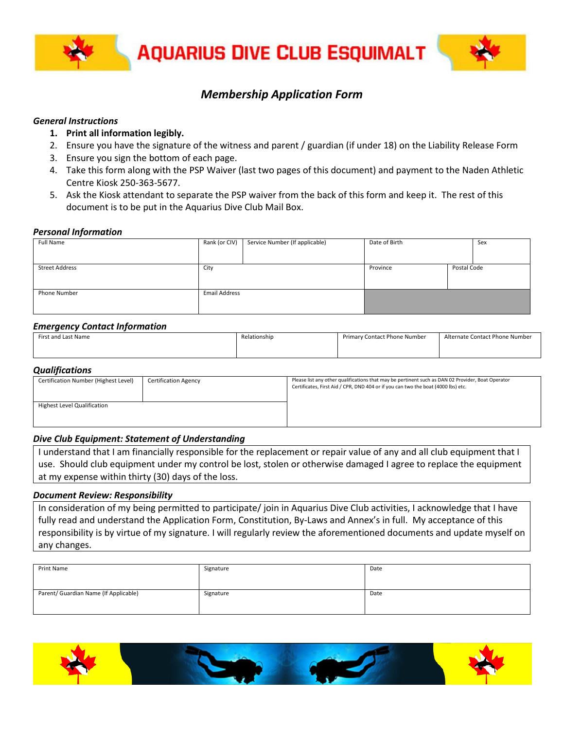

## *Membership Application Form*

#### *General Instructions*

- **1. Print all information legibly.**
- 2. Ensure you have the signature of the witness and parent / guardian (if under 18) on the Liability Release Form
- 3. Ensure you sign the bottom of each page.
- 4. Take this form along with the PSP Waiver (last two pages of this document) and payment to the Naden Athletic Centre Kiosk 250-363-5677.
- 5. Ask the Kiosk attendant to separate the PSP waiver from the back of this form and keep it. The rest of this document is to be put in the Aquarius Dive Club Mail Box.

#### *Personal Information*

| Full Name             | Rank (or CIV)        | Service Number (If applicable) | Date of Birth |             | Sex |
|-----------------------|----------------------|--------------------------------|---------------|-------------|-----|
|                       |                      |                                |               |             |     |
| <b>Street Address</b> | City                 |                                | Province      | Postal Code |     |
|                       |                      |                                |               |             |     |
| Phone Number          | <b>Email Address</b> |                                |               |             |     |
|                       |                      |                                |               |             |     |

#### *Emergency Contact Information*

| ---<br>------<br>___ |              |                              |                                |
|----------------------|--------------|------------------------------|--------------------------------|
| First and Last Name  | Relationship | Primary Contact Phone Number | Alternate Contact Phone Number |
|                      |              |                              |                                |
|                      |              |                              |                                |
|                      |              |                              |                                |

#### *Qualifications*

| Certification Number (Highest Level) | <b>Certification Agency</b> | Please list any other qualifications that may be pertinent such as DAN 02 Provider, Boat Operator<br>Certificates, First Aid / CPR, DND 404 or if you can two the boat (4000 lbs) etc. |
|--------------------------------------|-----------------------------|----------------------------------------------------------------------------------------------------------------------------------------------------------------------------------------|
| Highest Level Qualification          |                             |                                                                                                                                                                                        |

### *Dive Club Equipment: Statement of Understanding*

I understand that I am financially responsible for the replacement or repair value of any and all club equipment that I use. Should club equipment under my control be lost, stolen or otherwise damaged I agree to replace the equipment at my expense within thirty (30) days of the loss.

#### *Document Review: Responsibility*

In consideration of my being permitted to participate/ join in Aquarius Dive Club activities, I acknowledge that I have fully read and understand the Application Form, Constitution, By-Laws and Annex's in full. My acceptance of this responsibility is by virtue of my signature. I will regularly review the aforementioned documents and update myself on any changes.

| Print Name                            | Signature | Date |
|---------------------------------------|-----------|------|
| Parent/ Guardian Name (If Applicable) | Signature | Date |

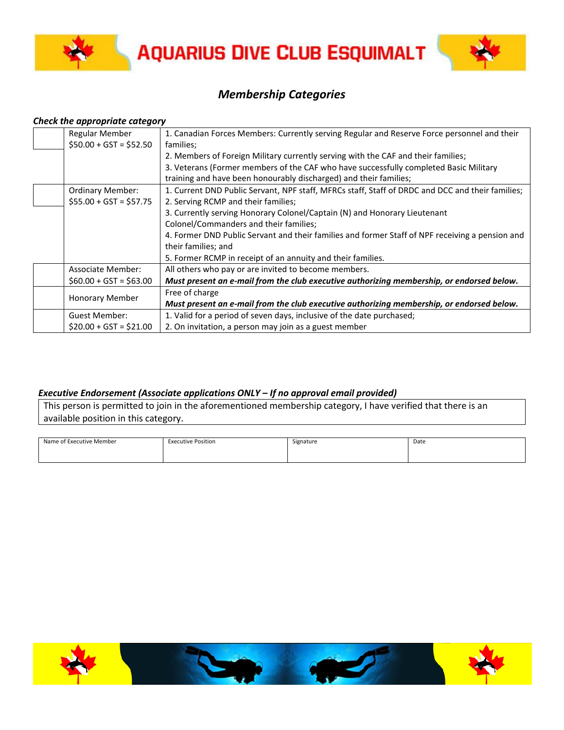



# *Membership Categories*

#### *Check the appropriate category*

| <b>Regular Member</b>   | 1. Canadian Forces Members: Currently serving Regular and Reserve Force personnel and their      |
|-------------------------|--------------------------------------------------------------------------------------------------|
| $$50.00 + GST = $52.50$ | families;                                                                                        |
|                         | 2. Members of Foreign Military currently serving with the CAF and their families;                |
|                         | 3. Veterans (Former members of the CAF who have successfully completed Basic Military            |
|                         | training and have been honourably discharged) and their families;                                |
| <b>Ordinary Member:</b> | 1. Current DND Public Servant, NPF staff, MFRCs staff, Staff of DRDC and DCC and their families; |
| $$55.00 + GST = $57.75$ | 2. Serving RCMP and their families;                                                              |
|                         | 3. Currently serving Honorary Colonel/Captain (N) and Honorary Lieutenant                        |
|                         | Colonel/Commanders and their families;                                                           |
|                         | 4. Former DND Public Servant and their families and former Staff of NPF receiving a pension and  |
|                         | their families; and                                                                              |
|                         | 5. Former RCMP in receipt of an annuity and their families.                                      |
| Associate Member:       | All others who pay or are invited to become members.                                             |
| $$60.00 + GST = $63.00$ | Must present an e-mail from the club executive authorizing membership, or endorsed below.        |
|                         | Free of charge                                                                                   |
| <b>Honorary Member</b>  | Must present an e-mail from the club executive authorizing membership, or endorsed below.        |
| <b>Guest Member:</b>    | 1. Valid for a period of seven days, inclusive of the date purchased;                            |
| $$20.00 + GST = $21.00$ | 2. On invitation, a person may join as a guest member                                            |

### *Executive Endorsement (Associate applications ONLY – If no approval email provided)*

This person is permitted to join in the aforementioned membership category, I have verified that there is an available position in this category.

| Name of Executive Member | <b>Executive Position</b> | Signature | Date |
|--------------------------|---------------------------|-----------|------|
|                          |                           |           |      |
|                          |                           |           |      |